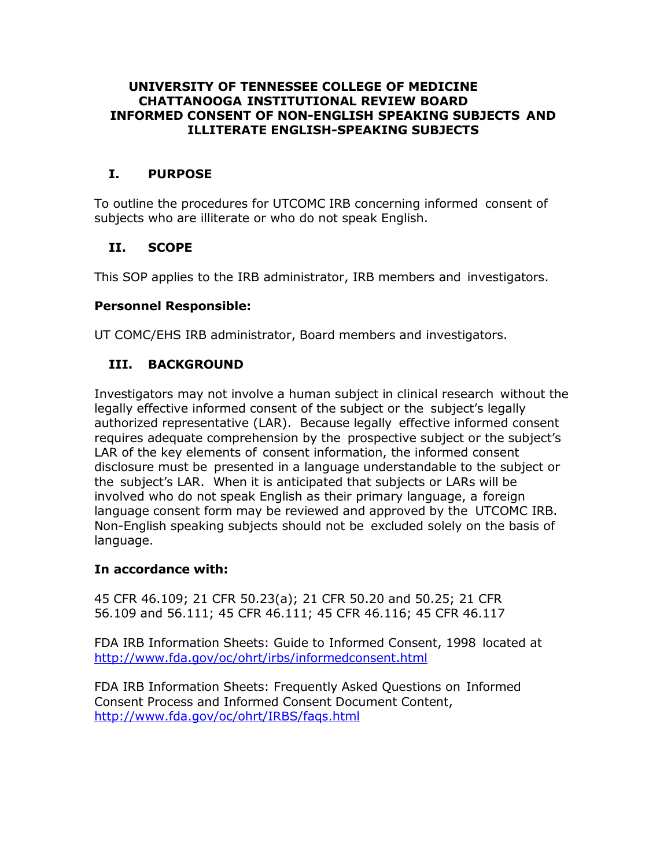#### **UNIVERSITY OF TENNESSEE COLLEGE OF MEDICINE CHATTANOOGA INSTITUTIONAL REVIEW BOARD INFORMED CONSENT OF NON-ENGLISH SPEAKING SUBJECTS AND ILLITERATE ENGLISH-SPEAKING SUBJECTS**

## **I. PURPOSE**

To outline the procedures for UTCOMC IRB concerning informed consent of subjects who are illiterate or who do not speak English.

## **II. SCOPE**

This SOP applies to the IRB administrator, IRB members and investigators.

### **Personnel Responsible:**

UT COMC/EHS IRB administrator, Board members and investigators.

## **III. BACKGROUND**

Investigators may not involve a human subject in clinical research without the legally effective informed consent of the subject or the subject's legally authorized representative (LAR). Because legally effective informed consent requires adequate comprehension by the prospective subject or the subject's LAR of the key elements of consent information, the informed consent disclosure must be presented in a language understandable to the subject or the subject's LAR. When it is anticipated that subjects or LARs will be involved who do not speak English as their primary language, a foreign language consent form may be reviewed and approved by the UTCOMC IRB. Non-English speaking subjects should not be excluded solely on the basis of language.

### **In accordance with:**

45 CFR 46.109; 21 CFR 50.23(a); 21 CFR 50.20 and 50.25; 21 CFR 56.109 and 56.111; 45 CFR 46.111; 45 CFR 46.116; 45 CFR 46.117

FDA IRB Information Sheets: Guide to Informed Consent, 1998 located at <http://www.fda.gov/oc/ohrt/irbs/informedconsent.html>

FDA IRB Information Sheets: Frequently Asked Questions on Informed Consent Process and Informed Consent Document Content, <http://www.fda.gov/oc/ohrt/IRBS/faqs.html>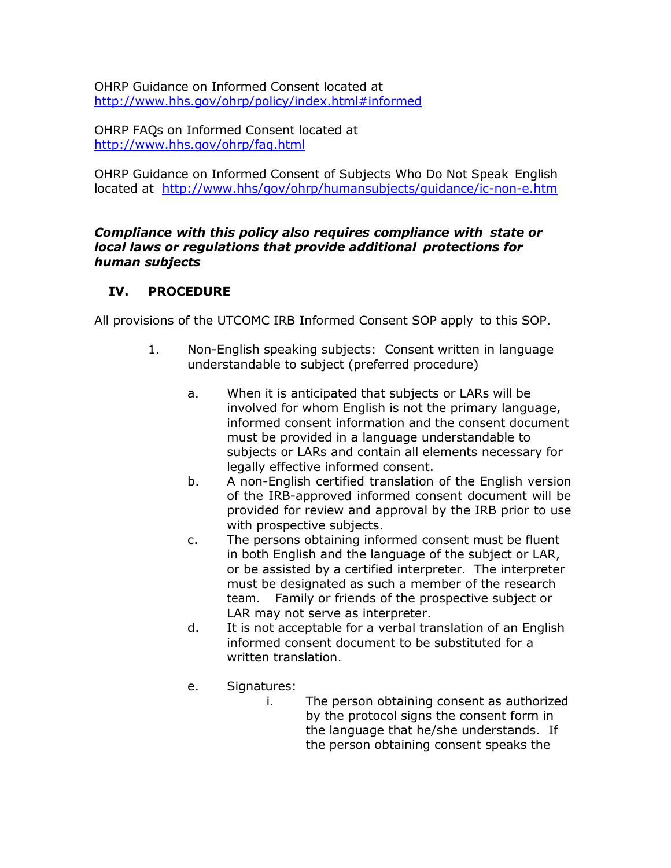OHRP Guidance on Informed Consent located at <http://www.hhs.gov/ohrp/policy/index.html#informed>

OHRP FAQs on Informed Consent located at <http://www.hhs.gov/ohrp/faq.html>

OHRP Guidance on Informed Consent of Subjects Who Do Not Speak English located at http://www.hhs/gov/ohrp/humansubjects/guidance/ic-non-e.htm

### *Compliance with this policy also requires compliance with state or local laws or regulations that provide additional protections for human subjects*

# **IV. PROCEDURE**

All provisions of the UTCOMC IRB Informed Consent SOP apply to this SOP.

- 1. Non-English speaking subjects: Consent written in language understandable to subject (preferred procedure)
	- a. When it is anticipated that subjects or LARs will be involved for whom English is not the primary language, informed consent information and the consent document must be provided in a language understandable to subjects or LARs and contain all elements necessary for legally effective informed consent.
	- b. A non-English certified translation of the English version of the IRB-approved informed consent document will be provided for review and approval by the IRB prior to use with prospective subjects.
	- c. The persons obtaining informed consent must be fluent in both English and the language of the subject or LAR, or be assisted by a certified interpreter. The interpreter must be designated as such a member of the research team. Family or friends of the prospective subject or LAR may not serve as interpreter.
	- d. It is not acceptable for a verbal translation of an English informed consent document to be substituted for a written translation.
	- e. Signatures:
		- i. The person obtaining consent as authorized by the protocol signs the consent form in the language that he/she understands. If the person obtaining consent speaks the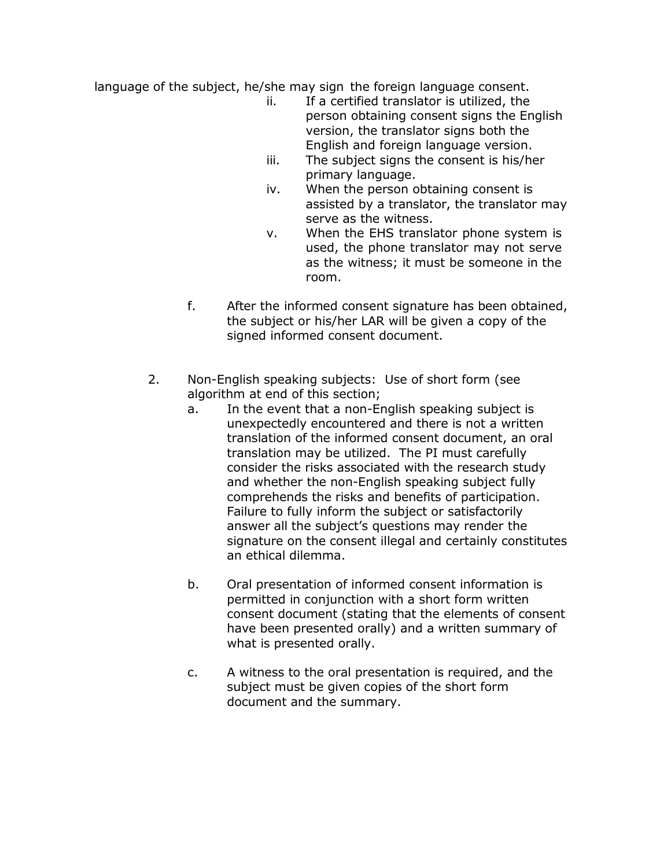language of the subject, he/she may sign the foreign language consent.

- ii. If a certified translator is utilized, the person obtaining consent signs the English version, the translator signs both the English and foreign language version.
- iii. The subject signs the consent is his/her primary language.
- iv. When the person obtaining consent is assisted by a translator, the translator may serve as the witness.
- v. When the EHS translator phone system is used, the phone translator may not serve as the witness; it must be someone in the room.
- f. After the informed consent signature has been obtained, the subject or his/her LAR will be given a copy of the signed informed consent document.
- 2. Non-English speaking subjects: Use of short form (see algorithm at end of this section;
	- a. In the event that a non-English speaking subject is unexpectedly encountered and there is not a written translation of the informed consent document, an oral translation may be utilized. The PI must carefully consider the risks associated with the research study and whether the non-English speaking subject fully comprehends the risks and benefits of participation. Failure to fully inform the subject or satisfactorily answer all the subject's questions may render the signature on the consent illegal and certainly constitutes an ethical dilemma.
	- b. Oral presentation of informed consent information is permitted in conjunction with a short form written consent document (stating that the elements of consent have been presented orally) and a written summary of what is presented orally.
	- c. A witness to the oral presentation is required, and the subject must be given copies of the short form document and the summary.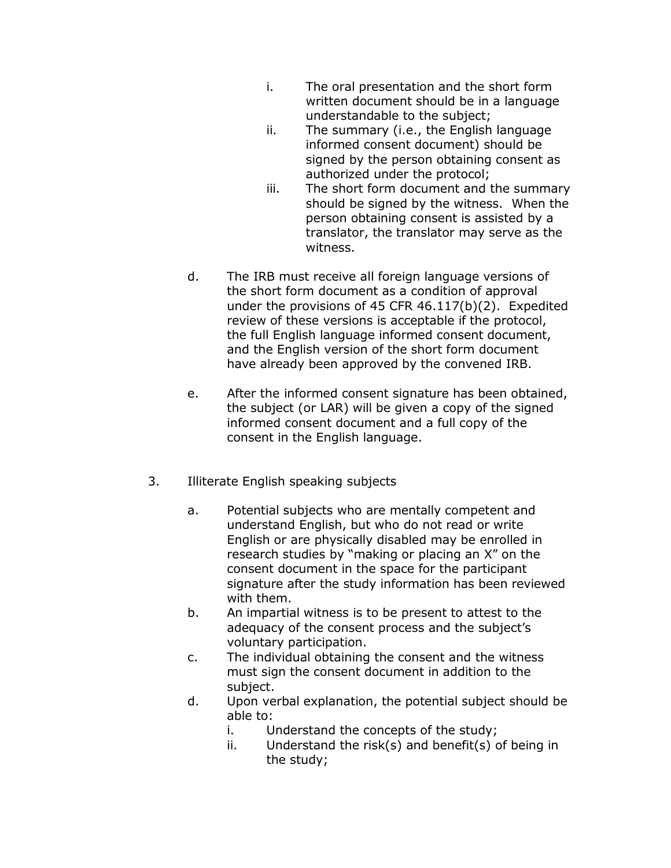- i. The oral presentation and the short form written document should be in a language understandable to the subject;
- ii. The summary (i.e., the English language informed consent document) should be signed by the person obtaining consent as authorized under the protocol;
- iii. The short form document and the summary should be signed by the witness. When the person obtaining consent is assisted by a translator, the translator may serve as the witness.
- d. The IRB must receive all foreign language versions of the short form document as a condition of approval under the provisions of 45 CFR 46.117(b)(2). Expedited review of these versions is acceptable if the protocol, the full English language informed consent document, and the English version of the short form document have already been approved by the convened IRB.
- e. After the informed consent signature has been obtained, the subject (or LAR) will be given a copy of the signed informed consent document and a full copy of the consent in the English language.
- 3. Illiterate English speaking subjects
	- a. Potential subjects who are mentally competent and understand English, but who do not read or write English or are physically disabled may be enrolled in research studies by "making or placing an X" on the consent document in the space for the participant signature after the study information has been reviewed with them.
	- b. An impartial witness is to be present to attest to the adequacy of the consent process and the subject's voluntary participation.
	- c. The individual obtaining the consent and the witness must sign the consent document in addition to the subject.
	- d. Upon verbal explanation, the potential subject should be able to:
		- i. Understand the concepts of the study;
		- ii. Understand the risk(s) and benefit(s) of being in the study;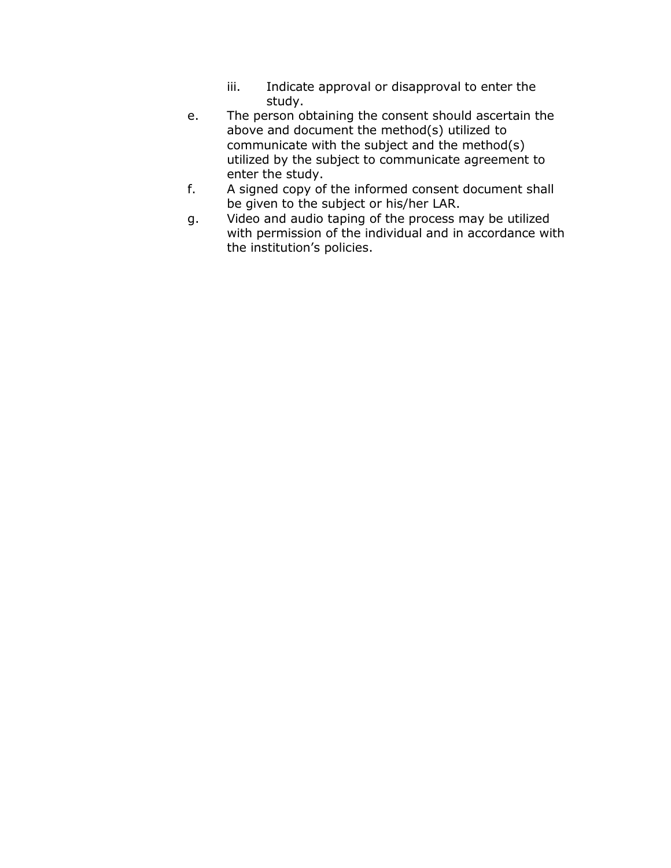- iii. Indicate approval or disapproval to enter the study.
- e. The person obtaining the consent should ascertain the above and document the method(s) utilized to communicate with the subject and the method(s) utilized by the subject to communicate agreement to enter the study.
- f. A signed copy of the informed consent document shall be given to the subject or his/her LAR.
- g. Video and audio taping of the process may be utilized with permission of the individual and in accordance with the institution's policies.